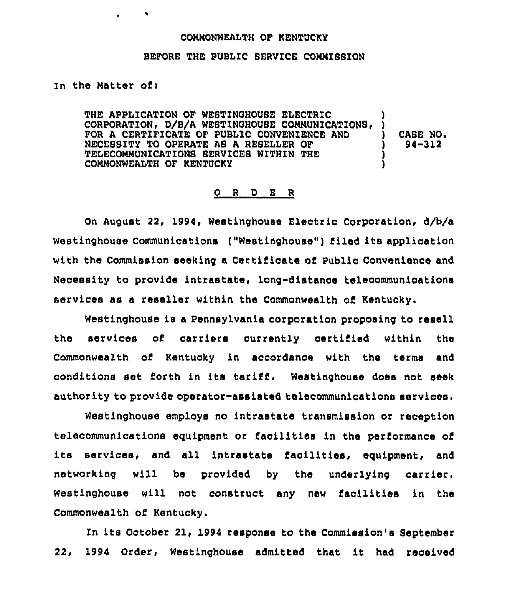#### COMMONWEALTH OF KENTUCKY

## BEFORE THE PUBLIC SERVICE CONNISSION

### In the Matter of:

 $\mathbf{r}^{\perp}$ 

 $\bullet$ 

THE APPLICATION OF WESTINGHOUSE ELECTRIC CORPORATION, D/B/A WESTINGHOUSE COMMUNICATIONS, FOR A CERTIFICATE OF PUBLIC CONVENIENCE AND NECESSITY TO OPERATE AS A RESELLER OF TELECOMMUNICATIONS SERVICES WITHIN THE COMMONWEALTH OF KENTUCKY ) ) ) )

CASE NO. ) 94-312

# 0 <sup>R</sup> <sup>D</sup> E <sup>R</sup>

On August 22, 1994, Westinghouse Electric Corporation, d/b/a Westinghouse Communications ("Westinghouse") filed its application with the Commission seeking a Certificate of Public Convenience and Necessity to provide intrastate, long-distance telecommunications services as a reseller within the Commonwealth of Kentucky.

Westinghouse is a Pennsylvania corporation proposing to resell the services of carriers ourrently certified within the Commonwealth of Kentucky in accordance with the terms and conditions set forth in its tariff, Westinghouse does not seek authority to provide operator-assisted telecommunications

employs no intrastate transmission or receptio telecommunications equipment or facilities in the performance of its services, and all intrastate facilities, equipment, and networking will be provided by the underlying carrier. Westinghouse will not construct any new facilities in the Commonwealth of Kentucky.

In its October 21, 1994 response to the Commission's September 22, <sup>1994</sup> Order, Westinghouse admitted that it had received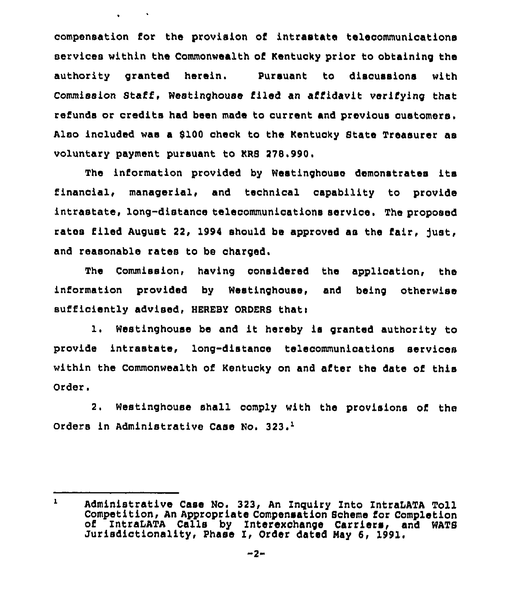compensation for the provision of intrastate telecommunications services within the Commonwealth of Kentucky prior to obtaining the authority granted herein. Pursuant to discussions with Commission Staff, Westinghouse filed an affidavit verifying that refunds or credits had been made to current and previous customers. Also included was a \$100 check to the Kentucky State Treasurer as voluntary payment pursuant to KRS 278.990.

 $\bullet$  and  $\bullet$  and  $\bullet$  and  $\bullet$  and  $\bullet$ 

The information provided by Westinghouse demonstrates its financial, managerial, and technical capability to provide intrastate, long-distance telecommunications service. The proposed rates filed August 22, 1994 should be approved as the fair, just, and reasonable rates to be charged.

The Commission, having considered the application, the information provided by Westinghouse, and being otherwise sufficiently advised, HEREBY ORDERS thati

1. Westinghouse be and it hereby is granted authority to provide intrastate, long-distance telecommunioations services within the Commonwealth of Kentucky on and after the date of this Order.

2. Westinghouse shall comply with the provisions of the Orders in Administrative Case No. 323.<sup>1</sup>

 $\mathbf{1}$ Administrative Case No. 323, An Inquiry Into IntraLATA Toll Competition, An Appropriate Compensation Scheme for Completion of IntraLATA Calls by Interexchange Carriers, and WATS Jurisdictionality, Phase I, Order dated May 6, 1991.